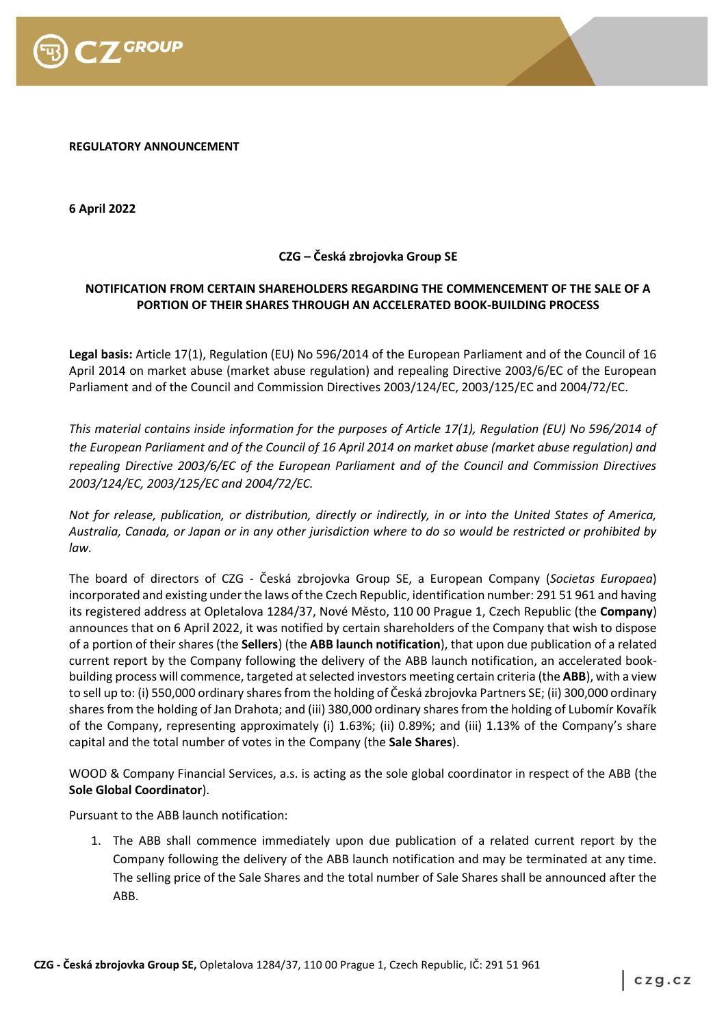

**REGULATORY ANNOUNCEMENT**

**6 April 2022**

## **CZG – Česká zbrojovka Group SE**

## **NOTIFICATION FROM CERTAIN SHAREHOLDERS REGARDING THE COMMENCEMENT OF THE SALE OF A PORTION OF THEIR SHARES THROUGH AN ACCELERATED BOOK-BUILDING PROCESS**

**Legal basis:** Article 17(1), Regulation (EU) No 596/2014 of the European Parliament and of the Council of 16 April 2014 on market abuse (market abuse regulation) and repealing Directive 2003/6/EC of the European Parliament and of the Council and Commission Directives 2003/124/EC, 2003/125/EC and 2004/72/EC.

*This material contains inside information for the purposes of Article 17(1), Regulation (EU) No 596/2014 of the European Parliament and of the Council of 16 April 2014 on market abuse (market abuse regulation) and repealing Directive 2003/6/EC of the European Parliament and of the Council and Commission Directives 2003/124/EC, 2003/125/EC and 2004/72/EC.*

*Not for release, publication, or distribution, directly or indirectly, in or into the United States of America, Australia, Canada, or Japan or in any other jurisdiction where to do so would be restricted or prohibited by law.*

The board of directors of CZG - Česká zbrojovka Group SE, a European Company (*Societas Europaea*) incorporated and existing under the laws of the Czech Republic, identification number: 291 51 961 and having its registered address at Opletalova 1284/37, Nové Město, 110 00 Prague 1, Czech Republic (the **Company**) announces that on 6 April 2022, it was notified by certain shareholders of the Company that wish to dispose of a portion of their shares (the **Sellers**) (the **ABB launch notification**), that upon due publication of a related current report by the Company following the delivery of the ABB launch notification, an accelerated bookbuilding process will commence, targeted at selected investors meeting certain criteria (the **ABB**), with a view to sell up to: (i) 550,000 ordinary shares from the holding of Česká zbrojovka Partners SE; (ii) 300,000 ordinary shares from the holding of Jan Drahota; and (iii) 380,000 ordinary shares from the holding of Lubomír Kovařík of the Company, representing approximately (i) 1.63%; (ii) 0.89%; and (iii) 1.13% of the Company's share capital and the total number of votes in the Company (the **Sale Shares**).

WOOD & Company Financial Services, a.s. is acting as the sole global coordinator in respect of the ABB (the **Sole Global Coordinator**).

Pursuant to the ABB launch notification:

1. The ABB shall commence immediately upon due publication of a related current report by the Company following the delivery of the ABB launch notification and may be terminated at any time. The selling price of the Sale Shares and the total number of Sale Shares shall be announced after the ABB.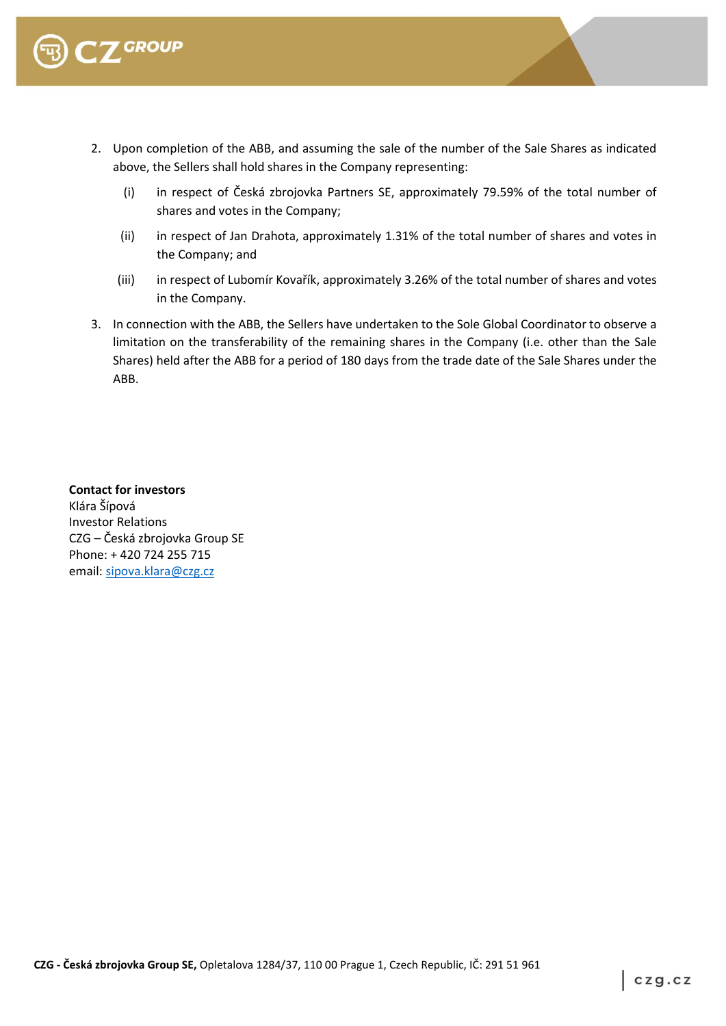

- 2. Upon completion of the ABB, and assuming the sale of the number of the Sale Shares as indicated above, the Sellers shall hold shares in the Company representing:
	- (i) in respect of Česká zbrojovka Partners SE, approximately 79.59% of the total number of shares and votes in the Company;
	- (ii) in respect of Jan Drahota, approximately 1.31% of the total number of shares and votes in the Company; and
	- (iii) in respect of Lubomír Kovařík, approximately 3.26% of the total number of shares and votes in the Company.
- 3. In connection with the ABB, the Sellers have undertaken to the Sole Global Coordinator to observe a limitation on the transferability of the remaining shares in the Company (i.e. other than the Sale Shares) held after the ABB for a period of 180 days from the trade date of the Sale Shares under the ABB.

**Contact for investors** Klára Šípová Investor Relations CZG – Česká zbrojovka Group SE Phone: + 420 724 255 715 email[: sipova.klara@czg.cz](mailto:sipova.klara@czg.cz)